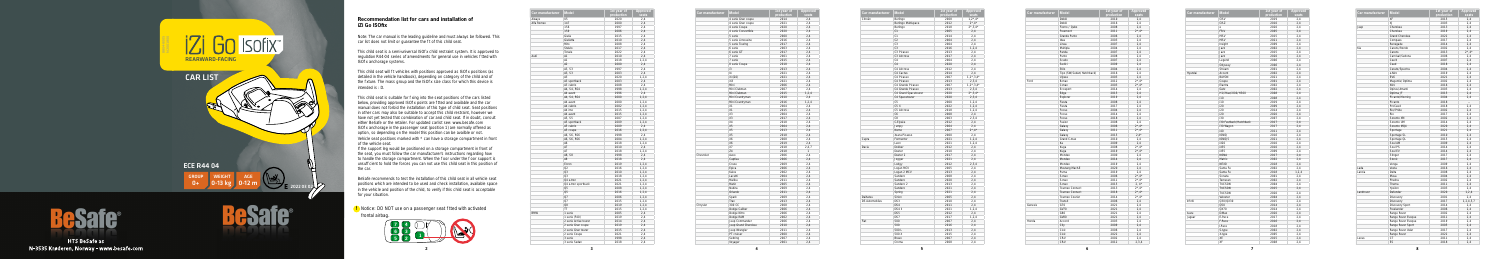**5**



Note: The car manual is the leading guideline and must always be followed. This car list does not limit or guarantee the t of this child seat.

This child seat is a semi-universal ISO x child restraint system. It is approved to regulation R44-04 series of amendments for general use in vehicles tted with ISO x anchorage systems.

## **Recommendation list for cars and installation of iZi Go ISOfix**

This child seat will t vehicles with positions approved as ISO x positions (as detailed in the vehicle handbook), depending on category of the child and of the xture. The mass group and the ISO x size class for which this device is intended is : D.

This child seat is suitable for xing into the seat positions of the cars listed below, providing approved ISO x points are tted and available and the car manual does not forbid the installation of this type of child seat. Seat positions in other cars may also be suitable to accept this child restraint, however we have not yet tested that combination of car and child seat. If in doubt, consult either BeSafe or the retailer. For updated carlist see: www.besafe.com ISO x anchorage in the passenger seat (position 1) are normally offered as option, so depending on the model this position can be availble or not. Vehicle seat positions marked with \* can have a storage compartment in front of the vehicle seat.

If the support leg would be positioned on a storage compartment in front of the seat, you must follow the car manufacturer's instructions regarding how to handle the storage compartment. When the oor under the oor support is unsuf cient to hold the forces you can not use this child seat in this position of the car.

**!** Notice: DO NOT use on a passenger seat tted with activated frontal airbag.

BeSafe recommends to test the installation of this child seat in all vehicle seat positions which are intended to be used and check installation, available space in the vehicle and position of the child, to verify if this child seat is acceptable for your situation.





**HTS BeSafe as** N-3535 Krøderen, Norway - www.besafe.com

| Car manufacturer | <b>Model</b>          | 1st year of | <b>Approved</b> |
|------------------|-----------------------|-------------|-----------------|
|                  |                       | production  | seats           |
| Aiways           | U <sub>5</sub>        | 2020        | 2,4             |
| Alfa Romeo       | 147                   | 2000        | 2,4             |
|                  | 156                   | 1997        | 2,4             |
|                  | 159                   | 2006        | 2,4             |
|                  | Giulia                | 2015        | 2,4             |
|                  | Giulietta             | 2010        | 2,4             |
|                  | Mito                  | 2008        | 2,4             |
|                  | Stelvio               | 2017        | 2,4             |
|                  | Tonale                | 2022        | 2,4             |
| Audi             | A1                    | 2010        | 2,4             |
|                  | A1                    | 2018        | 1, 2, 4         |
|                  | A2                    | 2000        | 2,4             |
|                  | A3, S3                | 1997        | 2,4             |
|                  | A3, S3                | 2003        | 2.4             |
|                  | A <sub>3</sub>        | 2020        | 1, 2, 4         |
|                  | A3 sportback          | 2003        | 2,4             |
|                  | A3 cabrio             | 2008        | 2,4             |
|                  | A4, S4, RS4           | 1998        | 1, 2, 4         |
|                  | A4 avant              | 1996        | 2,4             |
|                  | A4, S4, RS4           | 2000        | 1, 2, 4         |
|                  |                       |             |                 |
|                  | A4 avant              | 2000        | 1, 2, 4         |
|                  | A4 cabrio             | 2002        | 1, 2, 4         |
|                  | A4 imo                | 2015        | 1, 2, 4         |
|                  | A4 avant              | 2015        | 1, 2, 4         |
|                  | A5, S5                | 2007        | 1, 2, 4         |
|                  | A5 sportback          | 2009        | 1, 2, 4         |
|                  | A5 cabrio             | 2009        | 2,4             |
|                  | A5 coupe              | 2016        | 1, 2, 4         |
|                  | A6, S6, RS6           | 1998        | 2,4             |
|                  | A6, S6, RS6           | 2004        | 1, 2, 4         |
|                  | A6                    | 2018        | 1, 2, 4         |
|                  | A7                    | 2010        | 2,4             |
|                  | A7                    | 2018        | 1, 2, 4         |
|                  | A8, S8                | 1998        | 2,4             |
|                  | A8                    | 2018        | 2,4             |
|                  | E-tron                | 2019        | 1, 2, 4         |
|                  | Q2                    | 2016        | 1, 2, 4         |
|                  | Q3                    | 2010        | 1, 2, 4         |
|                  | Q3                    | 2018        | 1, 2, 4         |
|                  | Q4 e-tron             | 2021        | 1, 2, 4         |
|                  | Q4 e-tron sportback   | 2021        | 1, 2, 4         |
|                  | Q5                    | 2008        | 1, 2, 4         |
|                  | Q5                    | 2016        | 1, 2, 4         |
|                  | Q7                    | 2006        | 1, 2, 4         |
|                  | 07                    | 2015        | 1, 2, 4         |
|                  | Q8                    | 2019        | 1, 2, 4         |
|                  | <b>TT</b>             |             |                 |
|                  |                       | 2015        | 1, 2, 4         |
| <b>BMW</b>       | 1 serie               | 2005        | 2,4             |
|                  | 1 serie (F40)         | 2019        | 2,4             |
|                  | 2 serie Active tourer | 2014        | 2,4             |
|                  | 2 serie Gran coupe    | 2019        | 2,4             |
|                  | 2 serie Gran tourer   | 2015        | 2,4             |
|                  | 2 serie Coupe         | 2021        | 2,4             |
|                  | 3 serie               | 1998        | 2,4             |
|                  | 3 serie Sedan         | 2018        | 2,4             |

| Car manufacturer | <b>Model</b>        | 1st year of | Approved |
|------------------|---------------------|-------------|----------|
|                  |                     | production  | seats    |
|                  | 4 serie Gran coupe  | 2014        | 2.4      |
|                  | 4 serie Gran coupe  | 2021        | 2,4      |
|                  | 4 serie Coupe       | 2020        | 2,4      |
|                  | 4 serie Convertible | 2020        | 2.4      |
|                  | 5 serie             | 2000        | 2,4      |
|                  | 5 serie Limousine   | 2016        | 2.4      |
|                  | 5 serie Touring     | 2017        | 2,4      |
|                  | 6 serie             | 2003        | 2.4      |
|                  | 6 serie GT          | 2017        | 2,4      |
|                  | 7 serie             | 2001        | 2,4      |
|                  | 7 serie             | 2015        | 2.4      |
|                  | 8 serie Coupe       | 2018        | 2.4      |
|                  | i3                  | 2013        | 2,4      |
|                  | 4                   | 2021        | 2,4      |
|                  | iX (i20)            | 2021        | 2,4      |
|                  | iX3                 | 2021        | 2.4      |
|                  | Mini                | 2006        | 2,4      |
|                  | Mini Clubman        | 2007        | 2.4      |
|                  | Mini Clubman        | 2015        | 1, 2, 4  |
|                  | Mini Countryman     | 2010        | 2,4      |
|                  | Mini Countryman     | 2016        | 1, 2, 4  |
|                  | X1                  | 2004        | 2,4      |
|                  | X1                  |             | 2,4      |
|                  |                     | 2015        |          |
|                  | X <sub>3</sub>      | 2004        | 2.4      |
|                  | X <sub>3</sub>      | 2017        | 2,4      |
|                  | X <sub>4</sub>      | 2018        | 2,4      |
|                  | X <sub>5</sub>      | 2004        | 2,4      |
|                  | X <sub>5</sub>      | 2013        | 2,4      |
|                  | X <sub>5</sub>      | 2018        | 2,4      |
|                  | X6                  | 2008        | 2,4      |
|                  | X6                  | 2019        | 2,4      |
|                  | X7                  | 2018        | 2,4,7    |
|                  | Z <sub>4</sub>      | 2018        | 1        |
| Chevrolet        | Aveo                | 2006        | 2,4      |
|                  | Captiva             | 2006        | 2,4      |
|                  | Cruze               | 2009        | 2,4      |
|                  | Epica               | 2006        | 2.4      |
|                  | Kalos               | 2002        | 2,4      |
|                  | Lacetti             | 2004        | 2,4      |
|                  | Malibu              | 2011        | 2,4      |
|                  | Matiz               | 2005        | 2,4      |
|                  | Nubira              | 2009        | 2,4      |
|                  | Orlando             | 2011        | 2.4      |
|                  | Spark               | 2009        | 2,4      |
|                  | Trax                | 2013        | 2,4      |
| Chrysler         | 300 CC              | 2008        | 2,4      |
|                  | Dodge Caliber       | 2006        | 2,4      |
|                  | Dodge Nitro         | 2006        | 2,4      |
|                  | Dodge RAM           | 2002        | 2.4      |
|                  |                     | 2006        |          |
|                  | Jeep Commander      |             | 2,4      |
|                  | Jeep Grand Cherokee | 2010        | 2,4      |
|                  | Jeep Wrangler       | 2011        | 2,4      |
|                  | PT cruiser          | 2000        | 2,4      |
|                  | Sebring             | 2007        | 2,4      |
|                  | Voyager             | 2001        | 2.4      |

| Car manufacturer      | <b>Model</b>                           | 1st year of<br>production | <b>Approved</b><br>seats      |
|-----------------------|----------------------------------------|---------------------------|-------------------------------|
| Citroën               | Berlingo                               | 2008                      | $1,2^*,4^*$                   |
|                       | Berlingo Multispace                    | 2012                      | $2^{\star}$ , 4 $^{\star}$    |
|                       | Berlingo                               | 2018                      | $2^{\star}$ , 3, 4 $^{\star}$ |
|                       | C1                                     | 2005                      | 2,4                           |
|                       | C1                                     | 2014                      | 2,4                           |
|                       | C <sub>2</sub>                         | 2004                      | 2,4                           |
|                       | C <sub>3</sub>                         | 2004                      | 2,4                           |
|                       | C <sub>3</sub>                         | 2016                      | 1, 2, 4                       |
|                       | C3 Picasso                             | 2013                      | 2,4                           |
|                       | C3 Aircross                            | 2017                      | 2,4                           |
|                       | C <sub>4</sub>                         | 2004                      | 2,4                           |
|                       | C <sub>4</sub>                         | 2020                      | 2,4                           |
|                       | C4 Aircross                            | 2012                      | 2,4                           |
|                       | C4 Cactus                              | 2014                      | 2,4                           |
|                       | C4 Picasso                             | 2007                      | $1,2^{\star},3,4^{\star}$     |
|                       | C4 Picasso                             | 2013                      | 2,3,4                         |
|                       | C4 Grande Picasso                      | 2007                      | $1, 2^*, 3, 4^*$              |
|                       | C4 Grande Picasso                      | 2013                      | 2,3,4                         |
|                       |                                        | 2020                      | $2^{\star}$ , 3, 4 $^{\star}$ |
|                       | C4 Grand Spacetourer<br>C4 Spacetourer | 2020                      |                               |
|                       | C <sub>5</sub>                         |                           | 2,3,4                         |
|                       | C5X                                    | 2000<br>2022              | 1, 2, 4<br>1.2.4              |
|                       | C5 Aircross                            | 2018                      | 1, 2, 4                       |
|                       |                                        |                           |                               |
|                       | C <sub>6</sub>                         | 2008                      | 2,4                           |
|                       | C <sub>8</sub>                         | 2003                      | 2,3,4                         |
|                       | C-Elysée                               | 2012                      | 2,4                           |
|                       | Jumpy                                  | 2004                      | 2,4                           |
|                       | Nemo                                   | 2007                      | $2^{\star}$ , 4 $^{\star}$    |
|                       | Xsara Picasso                          | 2000                      | 2,4                           |
| Cupra                 | Formentor                              | 2021                      | 1, 2, 4                       |
|                       | Leon                                   | 2021                      | 1, 2, 4                       |
| Dacia                 | Dokker                                 | 2012                      | 2,4                           |
|                       | Duster                                 | 2010                      | 2,4                           |
|                       | Duster <sub>2</sub>                    | 2017                      | 2,4                           |
|                       | Jogger                                 | 2021                      | 2,4                           |
|                       | Lodgy                                  | 2012                      | 2.3.4                         |
|                       | Logan MCV                              | 2005                      | 2,4                           |
|                       | Logan 2 MCV                            | 2013                      | 2,4                           |
|                       | Sandero                                | 2008                      | 2,4                           |
|                       | Sandero                                | 2020                      | 2.4                           |
|                       | Sandero <sub>2</sub>                   | 2013                      | 2,4                           |
|                       | Sandero                                | 2021                      | 2,4                           |
|                       | Spring                                 | 2021                      | 2,4                           |
| Daihatsu              | Sirion                                 | 2005                      | 2,4                           |
| <b>DS Automobiles</b> | DS3                                    | 2010                      | 2,4                           |
|                       | DS4                                    | 2011                      | 2,4                           |
|                       | DS4 II                                 | 2021                      | 1, 2, 4                       |
|                       | DS <sub>5</sub>                        | 2012                      | 2,4                           |
|                       | DS7                                    | 2017                      | 1, 2, 4                       |
| Fiat                  | 500                                    | 2007                      | 2,4                           |
|                       | 500                                    | 2016                      | 2,4                           |
|                       | 500L                                   | 2013                      | 2.4                           |
|                       | 500 X                                  | 2015                      | 2,4                           |
|                       | Bravo                                  | 2007                      | 2,4                           |
|                       | Croma                                  | 2008                      | 2,4                           |

| Car manufacturer | <b>Model</b>              | 1st year of  | Approv     |
|------------------|---------------------------|--------------|------------|
|                  |                           | production   | seats      |
|                  | Doblò                     | 2010         | 2,4        |
|                  | Doblò                     | 2016         | 2,4        |
|                  | Fiorno / Qubo             | 2008         | 2,4        |
|                  | Freemont                  | 2011         | $2^*$ , 4* |
|                  | Grande Punto              | 2006         | 2,4        |
|                  | Idea                      | 2003         | 2,4        |
|                  | Linea                     | 2007         | 2,4        |
|                  | Multipla                  | 2004         | 2,4        |
|                  | Panda                     | 2007         | 2.4        |
|                  | Punto                     | 2008         | 2,4        |
|                  | Scudo                     | 2007         | 2,4        |
|                  | Sedici                    | 2009         | 2,4        |
|                  | Stilo                     | 2004         | 2,4        |
|                  | Tipo (SW/Sedan/Hatchback) | 2016         | 2,4        |
|                  | Ulysse                    | 2003         | 2,4        |
| Ford             | B-max                     | 2012         | $2^*$ , 4* |
|                  | C-max                     | 2003         | $2^*$ , 4* |
|                  | Ecosport                  | 2014         | 2,4        |
|                  | Edge                      | 2015         | 2,4        |
|                  | Explorer                  | 2019         | 2,4        |
|                  | Fiesta                    | 2008         | 2,4        |
|                  | Fiesta                    | 2017         | 2,4        |
|                  | Focus                     |              |            |
|                  |                           | 2004         | 2,4        |
|                  | Focus                     | 2014         | 2.4        |
|                  | Focus                     | 2018         | 2,4        |
|                  | Fusion                    | 2008         | 2,4        |
|                  | Galaxy                    | 2006         | $2^*$ , 4* |
|                  | Galaxy                    | 2011         | $2^*$ , 4* |
|                  | Galaxy                    | 2015         | $2.4*$     |
|                  | Grand C-max               | 2010         | 2,4        |
|                  | Ka                        | 2009         | 2,4        |
|                  | Kuga                      | 2008         | $2^*$ , 4* |
|                  | Kuga                      | 2019         | $2^*$ , 4* |
|                  | Mondeo                    | 2000         | 2,4        |
|                  | Mondeo                    | 2014         | 2,4        |
|                  | Mondeo                    | 2019         | 2,4        |
|                  | Mustang Mach-E            | 2020         | 2.4        |
|                  | Puma                      | 2019         | 2.4        |
|                  | S-max                     | 2006         | $2^*$ , 4* |
|                  | S-max                     | 2011         | $2^*$ , 4* |
|                  | S-max                     | 2015         | $2, 4*$    |
|                  | Tourneo Connect           | 2013         | $2^*$ , 4* |
|                  | Tourneo Connect           | 2018         | $2^*$ , 4* |
|                  | Tourneo Courier           | 2014         | $2^*$ , 4* |
|                  | Transit                   | 2006         | 2,4        |
| Genesis          | G70                       | 2021         | 2,4        |
|                  | GV70                      | 2021         | 2,4        |
|                  |                           | 2021         | 2,4        |
|                  |                           |              |            |
|                  | G80                       |              |            |
|                  | <b>GV80</b>               | 2021         | 2,4        |
| Honda            | Accord                    | 2003         | 2,4        |
|                  | City                      | 2009         | 2,4        |
|                  | Civic                     | 2006         | 2,4        |
|                  | Civic<br>CR-V             | 2022<br>2002 | 2,4<br>2,4 |

**Contract Contract Contract** 

| <b>Model</b>              | $1st$ year of<br>production | Approved<br>seats |
|---------------------------|-----------------------------|-------------------|
| Doblò                     | 2010                        | 2,4               |
| Doblò                     | 2016                        | 2,4               |
| Fiorno / Qubo             | 2008                        | 2,4               |
| Freemont                  | 2011                        | $2^*$ , 4*        |
| Grande Punto              | 2006                        | 2,4               |
| Idea                      | 2003                        | 2,4               |
| Linea                     | 2007                        | 2,4               |
| Multipla                  | 2004                        | 2,4               |
| Panda                     | 2007                        | 2,4               |
| Punto                     | 2008                        | 2,4               |
| Scudo                     | 2007                        | 2,4               |
| Sedici                    | 2009                        | 2,4               |
| Stilo                     | 2004                        | 2,4               |
| Tipo (SW/Sedan/Hatchback) | 2016                        | 2,4               |
| Ulysse                    | 2003                        | 2,4               |
| <b>B-max</b>              | 2012                        | $2^*$ ,4*         |
| C-max                     | 2003                        | $2^*$ , 4*        |
| Ecosport                  | 2014                        | 2.4               |
| Edge                      | 2015                        | 2,4               |
|                           | 2019                        |                   |
| Explorer<br>Fiesta        |                             | 2,4               |
|                           | 2008                        | 2,4               |
| Fiesta                    | 2017                        | 2,4               |
| Focus                     | 2004                        | 2,4               |
| Focus                     | 2014                        | 2,4               |
| Focus                     | 2018                        | 2,4               |
| Fusion                    | 2008                        | 2,4               |
| Galaxy                    | 2006                        | $2^*$ , 4*        |
| Galaxy                    | 2011                        | $2^*$ , 4*        |
| Galaxy                    | 2015                        | $2.4*$            |
| Grand C-max               | 2010                        | 2,4               |
| Ka                        | 2009                        | 2,4               |
| Kuga                      | 2008                        | $2^*$ ,4*         |
| Kuga                      | 2019                        | $2^*$ , 4*        |
| Mondeo                    | 2000                        | 2,4               |
| Mondeo                    | 2014                        | 2,4               |
| Mondeo                    | 2019                        | 2,4               |
| Mustang Mach-E            | 2020                        | 2,4               |
| Puma                      | 2019                        | 2,4               |
| S-max                     | 2006                        | $2^* .4^*$        |
| S-max                     | 2011                        | $2^*$ , 4*        |
| S-max                     | 2015                        | $2, 4*$           |
| <b>Tourneo Connect</b>    | 2013                        | $2^*$ ,4*         |
| Tourneo Connect           | 2018                        | $2^*$ , 4*        |
| Tourneo Courier           | 2014                        | $2^*$ ,4*         |
| Transit                   | 2006                        | 2,4               |
| G70                       | 2021                        | 2,4               |
| GV70                      | 2021                        | 2,4               |
| G80                       | 2021                        | 2,4               |
| GV80                      | 2021                        | 2,4               |
| Accord                    | 2003                        | 2,4               |
| City                      | 2009                        | 2,4               |
| Civic                     | 2006                        | 2,4               |
| Civic                     | 2022                        | 2,4               |
| CR-V                      | 2002                        | 2,4               |
| CR-V                      | 2012                        | 2,3,4             |
|                           |                             |                   |

| Car manufacturer | <b>Model</b>           | 1st year of  | Approved   |
|------------------|------------------------|--------------|------------|
|                  |                        | production   | seats      |
|                  | CR-V                   | 2019         | 2,4        |
|                  | CR-Z                   | 2010         | 2,4        |
|                  | e                      | 2020         | 2,4        |
|                  | FR-V                   | 2005         | 2,4        |
|                  | HR-V                   | 2015         | 2,4        |
|                  | HR-V                   | 2021         | 2,4        |
|                  | Insight                | 2009         | 2,4        |
|                  | Jazz                   | 2002         | 2,4        |
|                  | Jazz                   | 2015         | 2,4        |
|                  | Jazz                   | 2020         | 2,4        |
|                  | Legend                 | 2006         | 2,4        |
|                  | Odyssey                | 2006         | 2,4        |
|                  | Stream                 | 2001         | 2,4        |
| Hyundai          | Accent                 | 2002         | 2,4        |
|                  | <b>BAYON</b>           | 2021         | 2,4        |
|                  | Coupe                  | 2001         | 2,4        |
|                  | Elantra                | 2002         | 2,4        |
|                  | Getz                   | 2002         | 2,4        |
|                  | H1/iMax/i800/H300      | 2008         | 2,4        |
|                  | i10                    | 2008         | 2,4        |
|                  | i10                    | 2019         | 2,4        |
|                  | i20                    | 2009         | 2,4        |
|                  | i20                    | 2014         | 2,4        |
|                  | i20                    | 2020         | 2,4        |
|                  | i30                    | 2007         | 2,4        |
|                  | i30 Fastback/Hatchback | 2017         | 2,4        |
|                  | i30 Wagon              | 2017         | 2,4        |
|                  | i40                    | 2011         | 2,4        |
|                  | <b>IONIQ</b>           |              |            |
|                  |                        | 2016<br>2021 | 2,4        |
|                  | IONIQ 5<br>iX20        | 2010         | 2,4        |
|                  | iX35                   | 2010         | 2,4<br>2,4 |
|                  |                        |              |            |
|                  | iX55                   | 2009         | 2,4        |
|                  | KONA                   | 2017         | 2,4        |
|                  | Matrix                 | 2002         | 2,4        |
|                  | <b>NEXO</b>            | 2018         | 2,4        |
|                  | Santa Fe               | 2002         | 2,4        |
|                  | Santa Fe               | 2018         | 1, 2, 4    |
|                  | Sonata                 | 2001         | 2,4        |
|                  | Terracan               | 2002         | 2,4        |
|                  | <b>TUCSON</b>          | 2004         | 2,4        |
|                  | <b>TUCSON</b>          | 2015         | 2,4        |
|                  | <b>TUCSON</b>          | 2020         | 2,4        |
|                  | Veloster               | 2004         | 2,4        |
| In niti          | Q30/QX30               | 2015         | 2,4        |
|                  | Q50                    | 2014         | 2,4        |
|                  | QX70                   | 2014         | 2,4        |
| <b>Isuzu</b>     | D-Max                  | 2020         | 2,4        |
| Jaguar           | E-Pace                 | 2017         | 2,4        |
|                  | F-Pace                 | 2016         | 2,4        |
|                  | I-Pace                 | 2018         | 2,4        |
|                  | S-type                 | 2002         | 2,4        |
|                  | X-type                 | 2005         | 2,4        |
|                  | XE                     | 2015         | 2,4        |
|                  | XF                     | 2008         | 2,4        |
|                  |                        |              |            |

|                  |                       | 1st year of | <b>Approved</b>           |
|------------------|-----------------------|-------------|---------------------------|
| Car manufacturer | <b>Model</b>          | production  | seats                     |
|                  | XF                    | 2015        | 2,4                       |
|                  | XJ                    | 2003        | 2,4                       |
| Jeep             | Cherokee              | 2013        | 2,4                       |
|                  | Cherokee              | 2019        | 2,4                       |
|                  | <b>Grand Cherokee</b> | 2022        | 2,4                       |
|                  | Compass               | 2017        | 2,4                       |
|                  | Renegade              | 2014        | 2,4                       |
| Kia              | Carens/Rondo          | 2002        | 2,4                       |
|                  | Carens                | 2013        | $2^{\star}$ ,4 $^{\star}$ |
|                  | Carnival/Sedona       | 2006        | 2,4                       |
|                  | Cee'd                 | 2007        | 2,4                       |
|                  | Ceed                  | 2018        | 2,4                       |
|                  | Cerato/Spectra        | 2004        | 2,4                       |
|                  | e-Niro                | 2019        | 2,4                       |
|                  | EV <sub>6</sub>       | 2021        | 2,4                       |
|                  | Magentis/Optima       | 2002        | 2,4                       |
|                  | Niro                  | 2016        | 2,4                       |
|                  | Opirus/Amanti         | 2003        | 2,4                       |
|                  | Optima JF             | 2015        | 2,4                       |
|                  | Picanto/Morning       | 2004        | 2,4                       |
|                  | Picanto               | 2018        | $\overline{\phantom{a}}$  |
|                  | ProCeed               | 2018        | 2,4                       |
|                  | Rio/Pride             | 2002        | 2,4                       |
|                  | Rio                   | 2017        | 2,4                       |
|                  | Sorento XM            | 2002        | 2,4                       |
|                  | Sorento UM            | 2014        | 2,4                       |
|                  | Sorento MQ4           | 2020        | 2,4                       |
|                  | Sportage              | 2021        | 2,4                       |
|                  | Sportage SL           | 2010        | 2,4                       |
|                  | Sportage QL           | 2015        | 2,4                       |
|                  | Soul AM               | 2009        | 2,4                       |
|                  | Soul PS               | 2014        | 2,4                       |
|                  | Soul EV               | 2014        | 2,4                       |
|                  | Stinger               | 2017        | 2,4                       |
|                  | Stonic                | 2017        | 2,4                       |
|                  | Venga                 | 2009        | 2,4                       |
| Lada             | Vesta                 | 2016        | 2,4                       |
| Lancia           | Delta                 | 2008        | 2,4                       |
|                  | Musa                  | 2004        | 2,4                       |
|                  | Phedra                | 2002        | 2,4                       |
|                  | Thema                 | 2011        | 2,4                       |
|                  | Ypsilon               | 2003        | 2,4                       |
| Landrover        | Defender              | 2020        | 1, 2, 4                   |
|                  | Discovery             | 2001        | 2,4                       |
|                  | Discovery             | 2017        | 1,2,4,5,7                 |
|                  | Discovery Sport       | 2014        | 2,4                       |
|                  | Freelander            | 2006        | 2,4                       |
|                  | Range Rover           | 2002        | 2,4                       |
|                  | Range Rover Evoque    | 2011        | 2,4                       |
|                  | Range Rover Evoque    | 2019        | 2,4                       |
|                  | Range Rover Sport     | 2005        | 2,4                       |
|                  | Range Rover Velar     | 2017        | 2,4                       |
|                  | Range Rover           | 2022        | 2,4                       |
| Lexus            | СT                    | 2011        | 2,4                       |
|                  | ES                    | 2018        | 2,4                       |